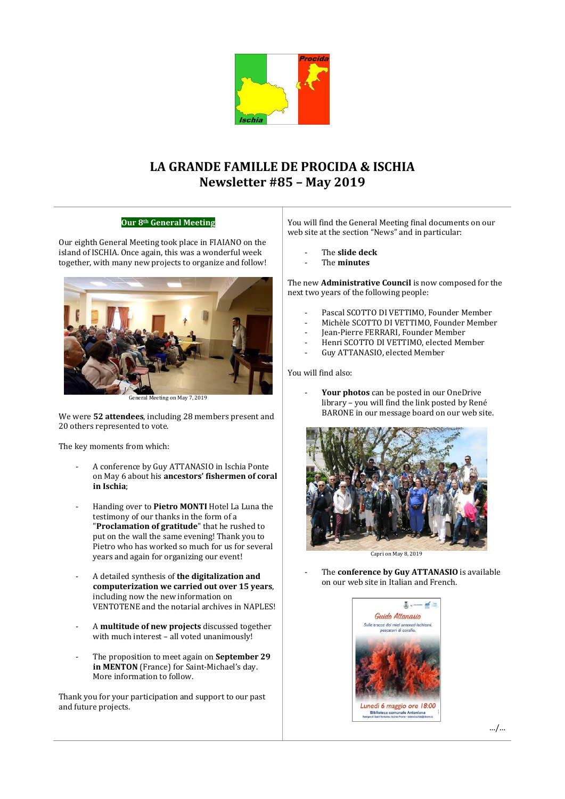

# **LA GRANDE FAMILLE DE PROCIDA & ISCHIA Newsletter #85 – May 2019**

## **Our 8th General Meeting**

Our eighth General Meeting took place in FIAIANO on the island of ISCHIA. Once again, this was a wonderful week together, with many new projects to organize and follow!



neral Meeting on May 7, 2019

We were **52 attendees**, including 28 members present and 20 others represented to vote.

The key moments from which:

- A conference by Guy ATTANASIO in Ischia Ponte on May 6 about his **ancestors' fishermen of coral in Ischia**;
- Handing over to **Pietro MONTI** Hotel La Luna the testimony of our thanks in the form of a "**Proclamation of gratitude**" that he rushed to put on the wall the same evening! Thank you to Pietro who has worked so much for us for several years and again for organizing our event!
- A detailed synthesis of **the digitalization and computerization we carried out over 15 years**, including now the new information on VENTOTENE and the notarial archives in NAPLES!
- A **multitude of new projects** discussed together with much interest – all voted unanimously!
- The proposition to meet again on **September 29 in MENTON** (France) for Saint-Michael's day. More information to follow.

Thank you for your participation and support to our past and future projects.

You will find the General Meeting final documents on our web site at the section "News" and in particular:

- The **slide deck**
- The **minutes**

The new **Administrative Council** is now composed for the next two years of the following people:

- Pascal SCOTTO DI VETTIMO, Founder Member
- Michèle SCOTTO DI VETTIMO, Founder Member
- Jean-Pierre FERRARI, Founder Member
- Henri SCOTTO DI VETTIMO, elected Member
- Guy ATTANASIO, elected Member

You will find also:

- **Your photos** can be posted in our OneDrive library – you will find the link posted by René BARONE in our message board on our web site.



Capri on May 8, 2019

The **conference by Guy ATTANASIO** is available on our web site in Italian and French.